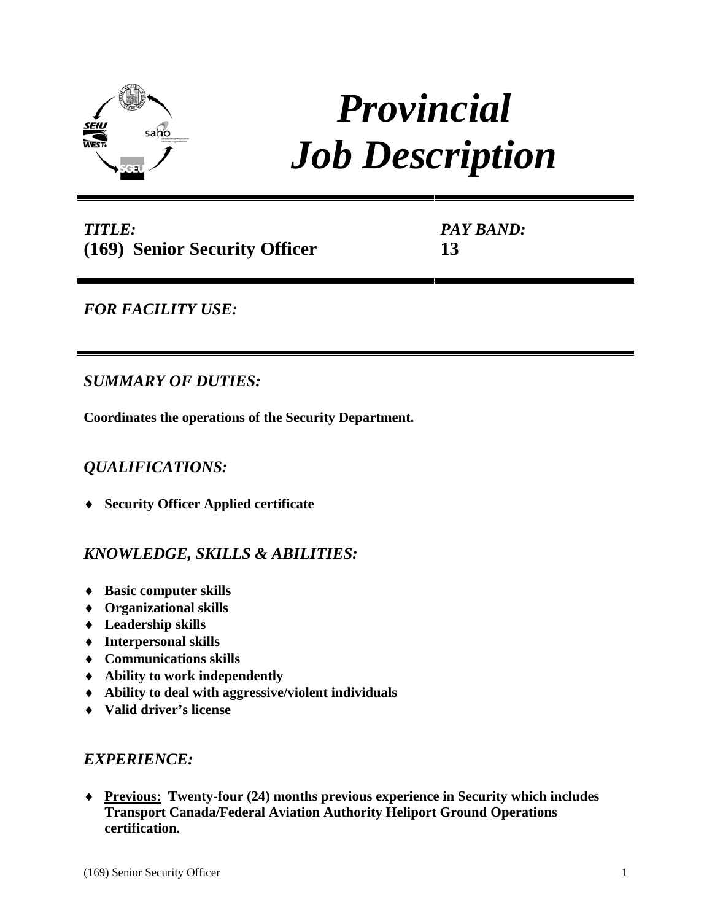

# *Provincial Job Description*

*TITLE:* **(169) Senior Security Officer**  *PAY BAND:* **13**

## *FOR FACILITY USE:*

## *SUMMARY OF DUTIES:*

**Coordinates the operations of the Security Department.**

## *QUALIFICATIONS:*

♦ **Security Officer Applied certificate**

### *KNOWLEDGE, SKILLS & ABILITIES:*

- ♦ **Basic computer skills**
- ♦ **Organizational skills**
- ♦ **Leadership skills**
- ♦ **Interpersonal skills**
- ♦ **Communications skills**
- ♦ **Ability to work independently**
- ♦ **Ability to deal with aggressive/violent individuals**
- ♦ **Valid driver's license**

#### *EXPERIENCE:*

♦ **Previous: Twenty-four (24) months previous experience in Security which includes Transport Canada/Federal Aviation Authority Heliport Ground Operations certification.**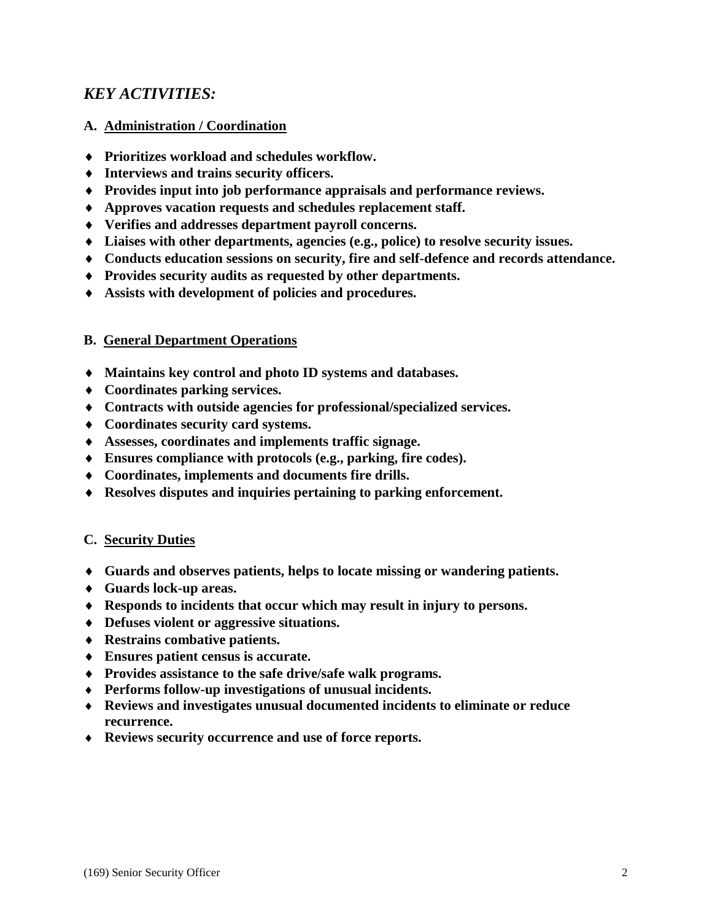## *KEY ACTIVITIES:*

#### **A. Administration / Coordination**

- ♦ **Prioritizes workload and schedules workflow.**
- ♦ **Interviews and trains security officers.**
- ♦ **Provides input into job performance appraisals and performance reviews.**
- ♦ **Approves vacation requests and schedules replacement staff.**
- ♦ **Verifies and addresses department payroll concerns.**
- ♦ **Liaises with other departments, agencies (e.g., police) to resolve security issues.**
- ♦ **Conducts education sessions on security, fire and self-defence and records attendance.**
- ♦ **Provides security audits as requested by other departments.**
- ♦ **Assists with development of policies and procedures.**

#### **B. General Department Operations**

- ♦ **Maintains key control and photo ID systems and databases.**
- ♦ **Coordinates parking services.**
- ♦ **Contracts with outside agencies for professional/specialized services.**
- ♦ **Coordinates security card systems.**
- ♦ **Assesses, coordinates and implements traffic signage.**
- ♦ **Ensures compliance with protocols (e.g., parking, fire codes).**
- ♦ **Coordinates, implements and documents fire drills.**
- ♦ **Resolves disputes and inquiries pertaining to parking enforcement.**

#### **C. Security Duties**

- ♦ **Guards and observes patients, helps to locate missing or wandering patients.**
- ♦ **Guards lock-up areas.**
- ♦ **Responds to incidents that occur which may result in injury to persons.**
- ♦ **Defuses violent or aggressive situations.**
- ♦ **Restrains combative patients.**
- ♦ **Ensures patient census is accurate.**
- ♦ **Provides assistance to the safe drive/safe walk programs.**
- ♦ **Performs follow-up investigations of unusual incidents.**
- ♦ **Reviews and investigates unusual documented incidents to eliminate or reduce recurrence.**
- ♦ **Reviews security occurrence and use of force reports.**